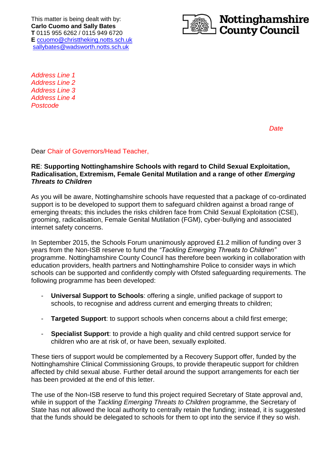This matter is being dealt with by: **Carlo Cuomo and Sally Bates T** 0115 955 6262 / 0115 949 6720 **E** [ccuomo@christtheking.notts.sch.uk](mailto:ccuomo@christtheking.notts.sch.uk) [sallybates@wadsworth.notts.sch.uk](mailto:sallybates@wadsworth.notts.sch.uk)



*Address Line 1 Address Line 2 Address Line 3 Address Line 4 Postcode*

*Date*

Dear Chair of Governors/Head Teacher,

### **RE**: **Supporting Nottinghamshire Schools with regard to Child Sexual Exploitation, Radicalisation, Extremism, Female Genital Mutilation and a range of other** *Emerging Threats to Children*

As you will be aware, Nottinghamshire schools have requested that a package of co-ordinated support is to be developed to support them to safeguard children against a broad range of emerging threats; this includes the risks children face from Child Sexual Exploitation (CSE), grooming, radicalisation, Female Genital Mutilation (FGM), cyber-bullying and associated internet safety concerns.

In September 2015, the Schools Forum unanimously approved £1.2 million of funding over 3 years from the Non-ISB reserve to fund the *"Tackling Emerging Threats to Children"* programme. Nottinghamshire County Council has therefore been working in collaboration with education providers, health partners and Nottinghamshire Police to consider ways in which schools can be supported and confidently comply with Ofsted safeguarding requirements. The following programme has been developed:

- **Universal Support to Schools:** offering a single, unified package of support to schools, to recognise and address current and emerging threats to children;
- **Targeted Support**: to support schools when concerns about a child first emerge;
- **Specialist Support:** to provide a high quality and child centred support service for children who are at risk of, or have been, sexually exploited.

These tiers of support would be complemented by a Recovery Support offer, funded by the Nottinghamshire Clinical Commissioning Groups, to provide therapeutic support for children affected by child sexual abuse. Further detail around the support arrangements for each tier has been provided at the end of this letter.

The use of the Non-ISB reserve to fund this project required Secretary of State approval and, while in support of the *Tackling Emerging Threats to Children* programme, the Secretary of State has not allowed the local authority to centrally retain the funding; instead, it is suggested that the funds should be delegated to schools for them to opt into the service if they so wish.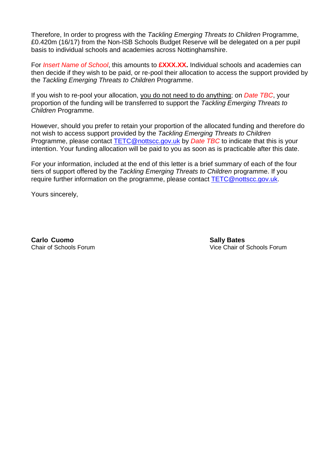Therefore, In order to progress with the *Tackling Emerging Threats to Children* Programme, £0.420m (16/17) from the Non-ISB Schools Budget Reserve will be delegated on a per pupil basis to individual schools and academies across Nottinghamshire.

For *Insert Name of School*, this amounts to **£XXX.XX.** Individual schools and academies can then decide if they wish to be paid, or re-pool their allocation to access the support provided by the *Tackling Emerging Threats to Children* Programme.

If you wish to re-pool your allocation, you do not need to do anything; on *Date TBC*, your proportion of the funding will be transferred to support the *Tackling Emerging Threats to Children* Programme.

However, should you prefer to retain your proportion of the allocated funding and therefore do not wish to access support provided by the *Tackling Emerging Threats to Children* Programme, please contact [TETC@nottscc.gov.uk](mailto:TETC@nottscc.gov.uk) by *Date TBC* to indicate that this is your intention. Your funding allocation will be paid to you as soon as is practicable after this date.

For your information, included at the end of this letter is a brief summary of each of the four tiers of support offered by the *Tackling Emerging Threats to Children* programme. If you require further information on the programme, please contact [TETC@nottscc.gov.uk.](mailto:TETC@nottscc.gov.uk)

Yours sincerely,

**Carlo Cuomo Sally Bates Carlo Cuomo Sally Bates** 

Chair of Schools Forum Vice Chair of Schools Forum